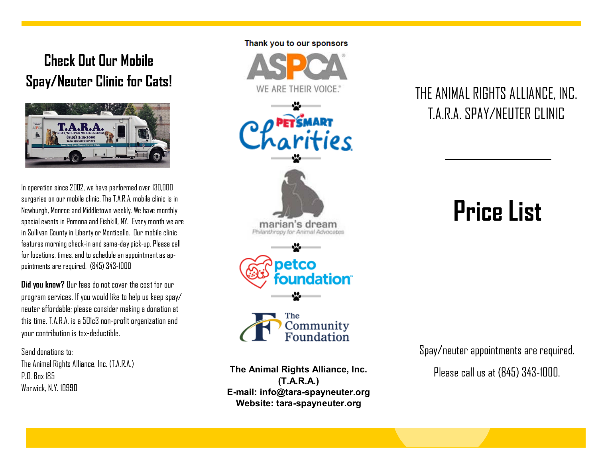## **Check Out Our Mobile Spay/Neuter Clinic for Cats!**



In operation since 2002, we have performed over 130,000 surgeries on our mobile clinic. The T.A.R.A. mobile clinic is in Newburgh, Monroe and Middletown weekly. We have monthly special events in Pomona and Fishkill, NY. Every month we are in Sullivan County in Liberty or Monticello. Our mobile clinic features morning check-in and same-day pick-up. Please call for locations, times, and to schedule an appointment as appointments are required. (845) 343-1000

**Did you know?** Our fees do not cover the cost for our program services. If you would like to help us keep spay/ neuter affordable; please consider making a donation at this time. T.A.R.A. is a 501c3 non-profit organization and your contribution is tax-deductible.

Send donations to: The Animal Rights Alliance, Inc. (T.A.R.A.) **P.O. Box 185** Warwick, N.Y. 10990

### Thank you to our sponsors



**The Animal Rights Alliance, Inc. (T.A.R.A.) E-mail: info@tara-spayneuter.org Website: tara-spayneuter.org**

## THE ANIMAL RIGHTS ALLIANCE, INC. T.A.R.A. SPAY/NEUTER CLINIC

# **Price List**

Spay/neuter appointments are required.

Please call us at (845) 343-1000.